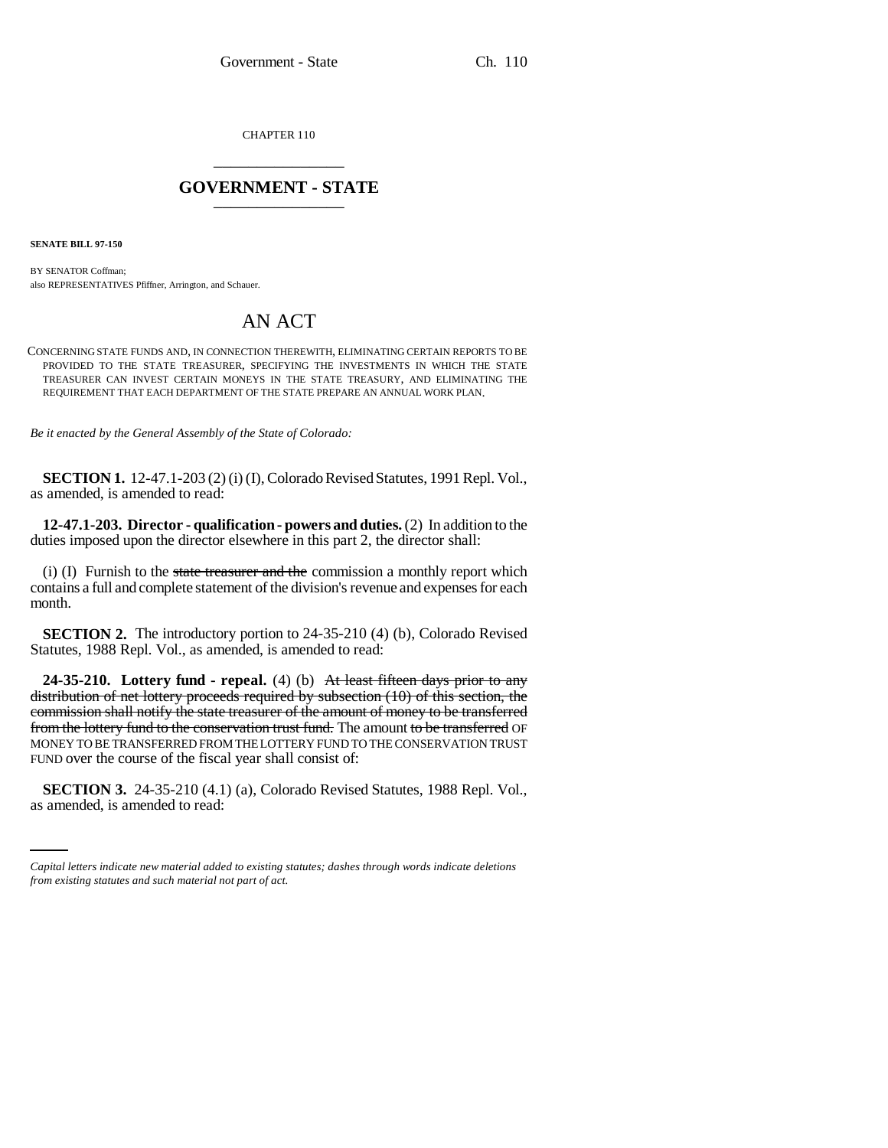CHAPTER 110 \_\_\_\_\_\_\_\_\_\_\_\_\_\_\_

## **GOVERNMENT - STATE** \_\_\_\_\_\_\_\_\_\_\_\_\_\_\_

**SENATE BILL 97-150**

BY SENATOR Coffman; also REPRESENTATIVES Pfiffner, Arrington, and Schauer.

## AN ACT

CONCERNING STATE FUNDS AND, IN CONNECTION THEREWITH, ELIMINATING CERTAIN REPORTS TO BE PROVIDED TO THE STATE TREASURER, SPECIFYING THE INVESTMENTS IN WHICH THE STATE TREASURER CAN INVEST CERTAIN MONEYS IN THE STATE TREASURY, AND ELIMINATING THE REQUIREMENT THAT EACH DEPARTMENT OF THE STATE PREPARE AN ANNUAL WORK PLAN.

*Be it enacted by the General Assembly of the State of Colorado:*

**SECTION 1.** 12-47.1-203 (2) (i) (I), Colorado Revised Statutes, 1991 Repl. Vol., as amended, is amended to read:

**12-47.1-203. Director - qualification - powers and duties.** (2) In addition to the duties imposed upon the director elsewhere in this part 2, the director shall:

 $(i)$  (I) Furnish to the state treasurer and the commission a monthly report which contains a full and complete statement of the division's revenue and expenses for each month.

**SECTION 2.** The introductory portion to 24-35-210 (4) (b), Colorado Revised Statutes, 1988 Repl. Vol., as amended, is amended to read:

**24-35-210. Lottery fund - repeal.** (4) (b) At least fifteen days prior to any distribution of net lottery proceeds required by subsection (10) of this section, the commission shall notify the state treasurer of the amount of money to be transferred from the lottery fund to the conservation trust fund. The amount to be transferred OF MONEY TO BE TRANSFERRED FROM THE LOTTERY FUND TO THE CONSERVATION TRUST FUND over the course of the fiscal year shall consist of:

 **SECTION 3.** 24-35-210 (4.1) (a), Colorado Revised Statutes, 1988 Repl. Vol., as amended, is amended to read:

*Capital letters indicate new material added to existing statutes; dashes through words indicate deletions from existing statutes and such material not part of act.*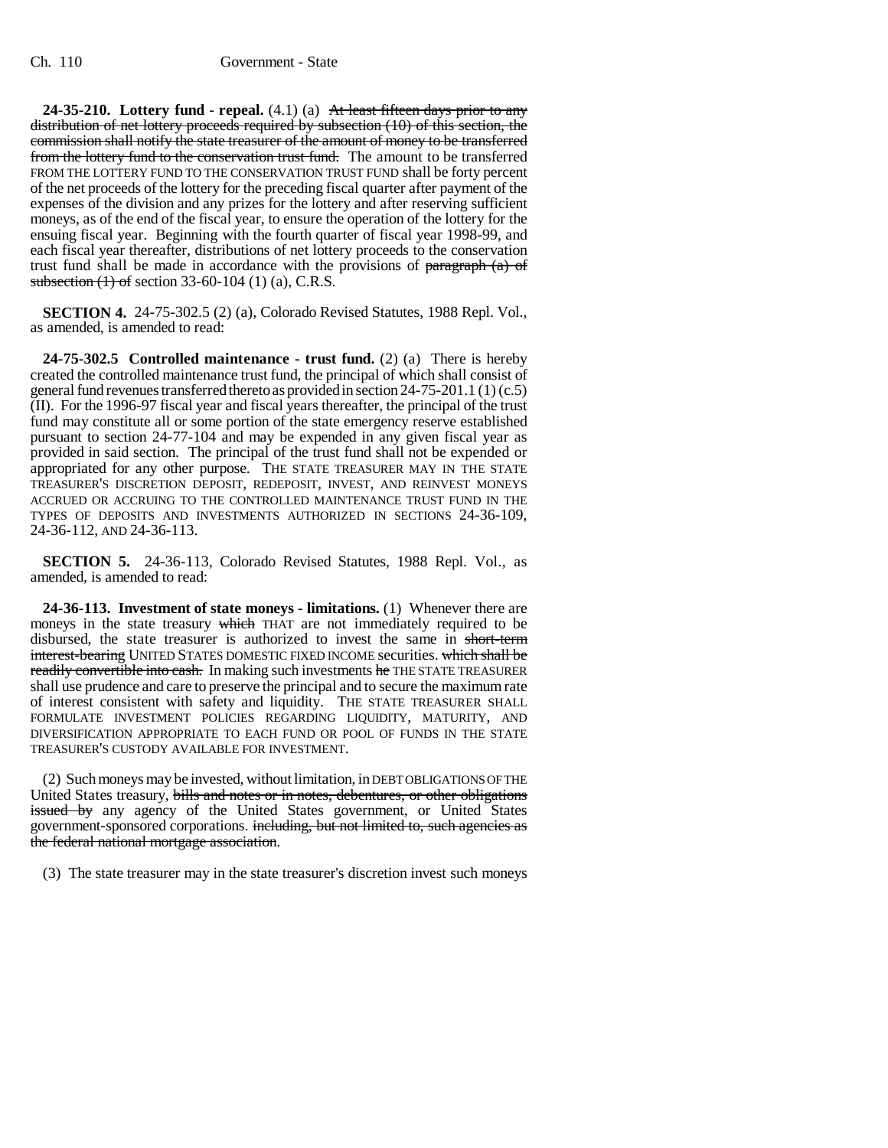**24-35-210. Lottery fund - repeal.** (4.1) (a) At least fifteen days prior to any distribution of net lottery proceeds required by subsection (10) of this section, the commission shall notify the state treasurer of the amount of money to be transferred from the lottery fund to the conservation trust fund. The amount to be transferred FROM THE LOTTERY FUND TO THE CONSERVATION TRUST FUND shall be forty percent of the net proceeds of the lottery for the preceding fiscal quarter after payment of the expenses of the division and any prizes for the lottery and after reserving sufficient moneys, as of the end of the fiscal year, to ensure the operation of the lottery for the ensuing fiscal year. Beginning with the fourth quarter of fiscal year 1998-99, and each fiscal year thereafter, distributions of net lottery proceeds to the conservation trust fund shall be made in accordance with the provisions of  $\frac{\text{parameter of}}{\text{mean of}}$ subsection  $(1)$  of section 33-60-104  $(1)$   $(a)$ , C.R.S.

**SECTION 4.** 24-75-302.5 (2) (a), Colorado Revised Statutes, 1988 Repl. Vol., as amended, is amended to read:

**24-75-302.5 Controlled maintenance - trust fund.** (2) (a) There is hereby created the controlled maintenance trust fund, the principal of which shall consist of general fund revenues transferred thereto as provided in section 24-75-201.1 (1) (c.5) (II). For the 1996-97 fiscal year and fiscal years thereafter, the principal of the trust fund may constitute all or some portion of the state emergency reserve established pursuant to section 24-77-104 and may be expended in any given fiscal year as provided in said section. The principal of the trust fund shall not be expended or appropriated for any other purpose. THE STATE TREASURER MAY IN THE STATE TREASURER'S DISCRETION DEPOSIT, REDEPOSIT, INVEST, AND REINVEST MONEYS ACCRUED OR ACCRUING TO THE CONTROLLED MAINTENANCE TRUST FUND IN THE TYPES OF DEPOSITS AND INVESTMENTS AUTHORIZED IN SECTIONS 24-36-109, 24-36-112, AND 24-36-113.

**SECTION 5.** 24-36-113, Colorado Revised Statutes, 1988 Repl. Vol., as amended, is amended to read:

**24-36-113. Investment of state moneys - limitations.** (1) Whenever there are moneys in the state treasury which THAT are not immediately required to be disbursed, the state treasurer is authorized to invest the same in short-term interest-bearing UNITED STATES DOMESTIC FIXED INCOME securities. which shall be readily convertible into cash. In making such investments he THE STATE TREASURER shall use prudence and care to preserve the principal and to secure the maximum rate of interest consistent with safety and liquidity. THE STATE TREASURER SHALL FORMULATE INVESTMENT POLICIES REGARDING LIQUIDITY, MATURITY, AND DIVERSIFICATION APPROPRIATE TO EACH FUND OR POOL OF FUNDS IN THE STATE TREASURER'S CUSTODY AVAILABLE FOR INVESTMENT.

(2) Such moneys may be invested, without limitation, in DEBT OBLIGATIONS OF THE United States treasury, bills and notes or in notes, debentures, or other obligations issued by any agency of the United States government, or United States government-sponsored corporations. including, but not limited to, such agencies as the federal national mortgage association.

(3) The state treasurer may in the state treasurer's discretion invest such moneys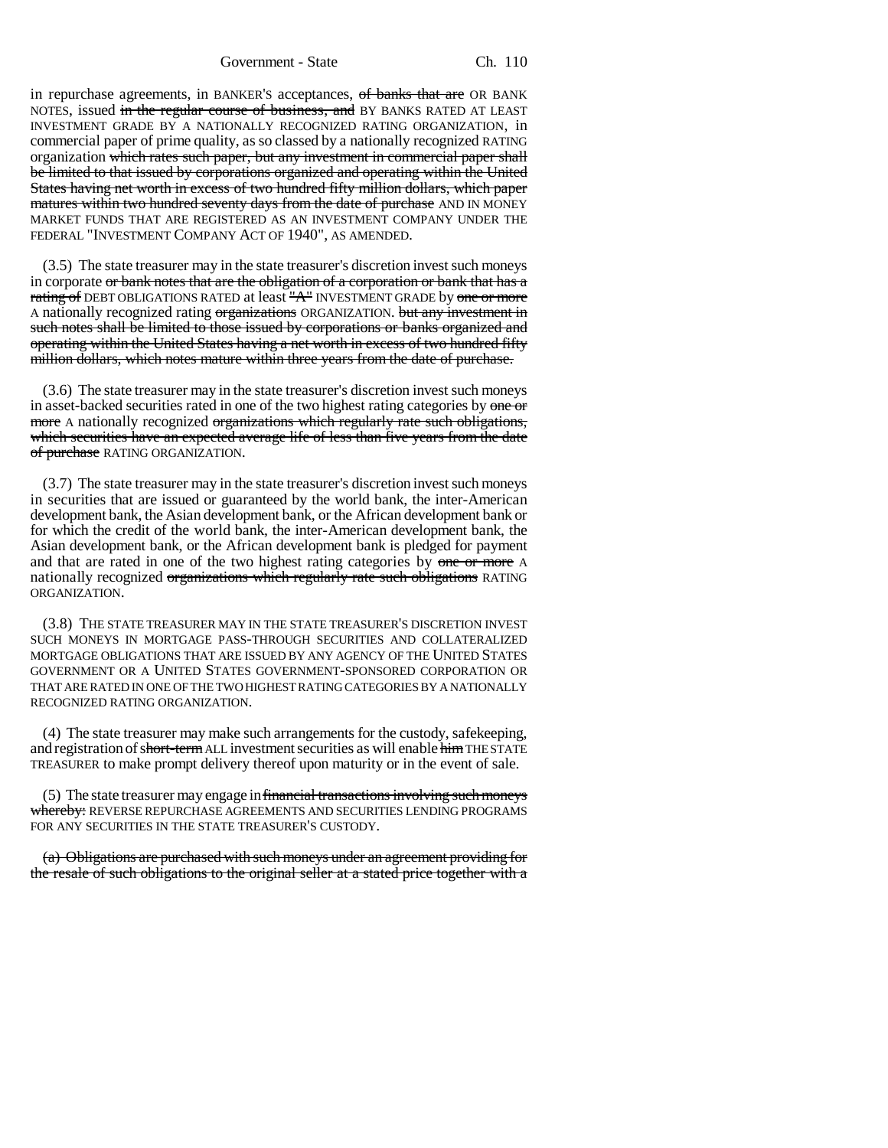Government - State Ch. 110

in repurchase agreements, in BANKER's acceptances, of banks that are OR BANK NOTES, issued in the regular course of business, and BY BANKS RATED AT LEAST INVESTMENT GRADE BY A NATIONALLY RECOGNIZED RATING ORGANIZATION, in commercial paper of prime quality, as so classed by a nationally recognized RATING organization which rates such paper, but any investment in commercial paper shall be limited to that issued by corporations organized and operating within the United States having net worth in excess of two hundred fifty million dollars, which paper matures within two hundred seventy days from the date of purchase AND IN MONEY MARKET FUNDS THAT ARE REGISTERED AS AN INVESTMENT COMPANY UNDER THE FEDERAL "INVESTMENT COMPANY ACT OF 1940", AS AMENDED.

(3.5) The state treasurer may in the state treasurer's discretion invest such moneys in corporate or bank notes that are the obligation of a corporation or bank that has a rating of DEBT OBLIGATIONS RATED at least "A" INVESTMENT GRADE by one or more A nationally recognized rating organizations ORGANIZATION. but any investment in such notes shall be limited to those issued by corporations or banks organized and operating within the United States having a net worth in excess of two hundred fifty million dollars, which notes mature within three years from the date of purchase.

(3.6) The state treasurer may in the state treasurer's discretion invest such moneys in asset-backed securities rated in one of the two highest rating categories by one or more A nationally recognized organizations which regularly rate such obligations, which securities have an expected average life of less than five years from the date of purchase RATING ORGANIZATION.

(3.7) The state treasurer may in the state treasurer's discretion invest such moneys in securities that are issued or guaranteed by the world bank, the inter-American development bank, the Asian development bank, or the African development bank or for which the credit of the world bank, the inter-American development bank, the Asian development bank, or the African development bank is pledged for payment and that are rated in one of the two highest rating categories by one or more A nationally recognized organizations which regularly rate such obligations RATING ORGANIZATION.

(3.8) THE STATE TREASURER MAY IN THE STATE TREASURER'S DISCRETION INVEST SUCH MONEYS IN MORTGAGE PASS-THROUGH SECURITIES AND COLLATERALIZED MORTGAGE OBLIGATIONS THAT ARE ISSUED BY ANY AGENCY OF THE UNITED STATES GOVERNMENT OR A UNITED STATES GOVERNMENT-SPONSORED CORPORATION OR THAT ARE RATED IN ONE OF THE TWO HIGHEST RATING CATEGORIES BY A NATIONALLY RECOGNIZED RATING ORGANIZATION.

(4) The state treasurer may make such arrangements for the custody, safekeeping, and registration of short-term ALL investment securities as will enable him THE STATE TREASURER to make prompt delivery thereof upon maturity or in the event of sale.

(5) The state treasurer may engage in financial transactions involving such moneys whereby: REVERSE REPURCHASE AGREEMENTS AND SECURITIES LENDING PROGRAMS FOR ANY SECURITIES IN THE STATE TREASURER'S CUSTODY.

(a) Obligations are purchased with such moneys under an agreement providing for the resale of such obligations to the original seller at a stated price together with a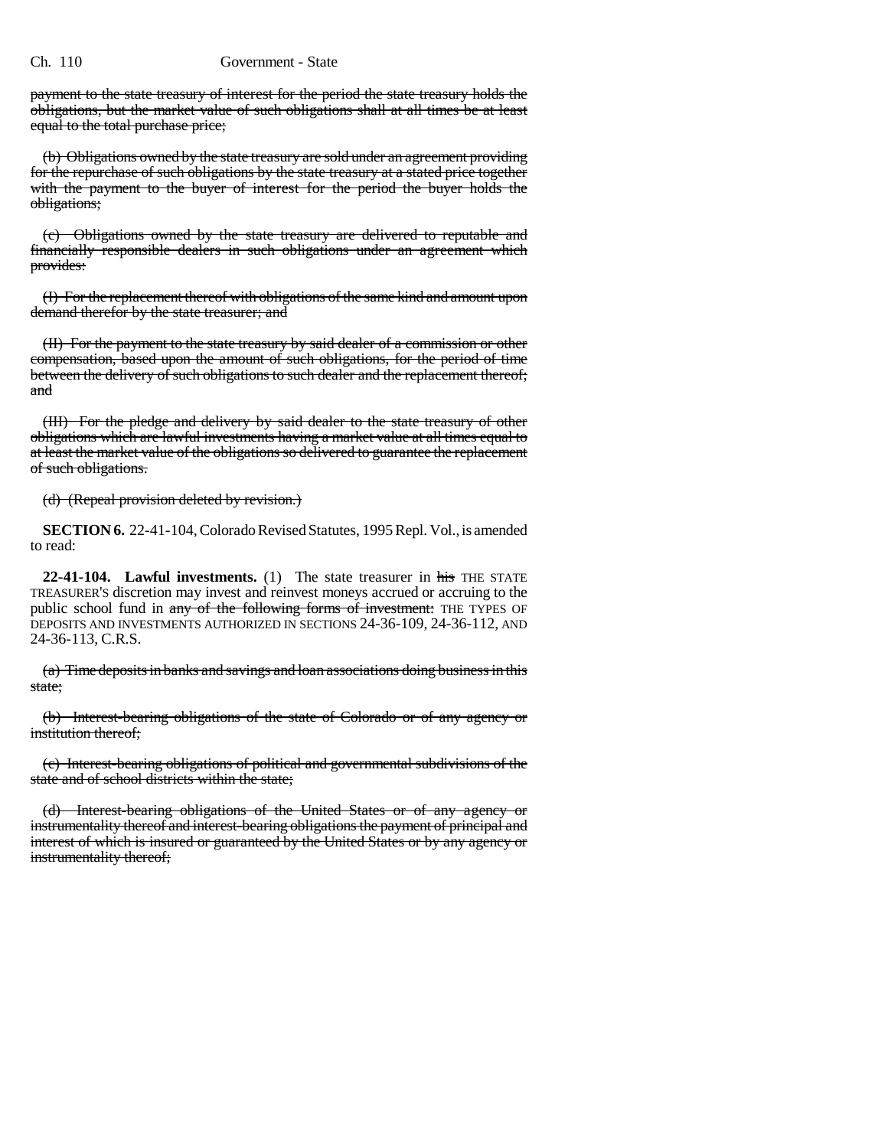## Ch. 110 Government - State

payment to the state treasury of interest for the period the state treasury holds the obligations, but the market value of such obligations shall at all times be at least equal to the total purchase price;

(b) Obligations owned by the state treasury are sold under an agreement providing for the repurchase of such obligations by the state treasury at a stated price together with the payment to the buyer of interest for the period the buyer holds the obligations;

(c) Obligations owned by the state treasury are delivered to reputable and financially responsible dealers in such obligations under an agreement which provides:

(I) For the replacement thereof with obligations of the same kind and amount upon demand therefor by the state treasurer; and

(II) For the payment to the state treasury by said dealer of a commission or other compensation, based upon the amount of such obligations, for the period of time between the delivery of such obligations to such dealer and the replacement thereof; and

(III) For the pledge and delivery by said dealer to the state treasury of other obligations which are lawful investments having a market value at all times equal to at least the market value of the obligations so delivered to guarantee the replacement of such obligations.

(d) (Repeal provision deleted by revision.)

**SECTION 6.** 22-41-104, Colorado Revised Statutes, 1995 Repl. Vol., is amended to read:

**22-41-104. Lawful investments.** (1) The state treasurer in his THE STATE TREASURER'S discretion may invest and reinvest moneys accrued or accruing to the public school fund in any of the following forms of investment: THE TYPES OF DEPOSITS AND INVESTMENTS AUTHORIZED IN SECTIONS 24-36-109, 24-36-112, AND 24-36-113, C.R.S.

(a) Time deposits in banks and savings and loan associations doing business in this state;

(b) Interest-bearing obligations of the state of Colorado or of any agency or institution thereof;

(c) Interest-bearing obligations of political and governmental subdivisions of the state and of school districts within the state;

(d) Interest-bearing obligations of the United States or of any agency or instrumentality thereof and interest-bearing obligations the payment of principal and interest of which is insured or guaranteed by the United States or by any agency or instrumentality thereof;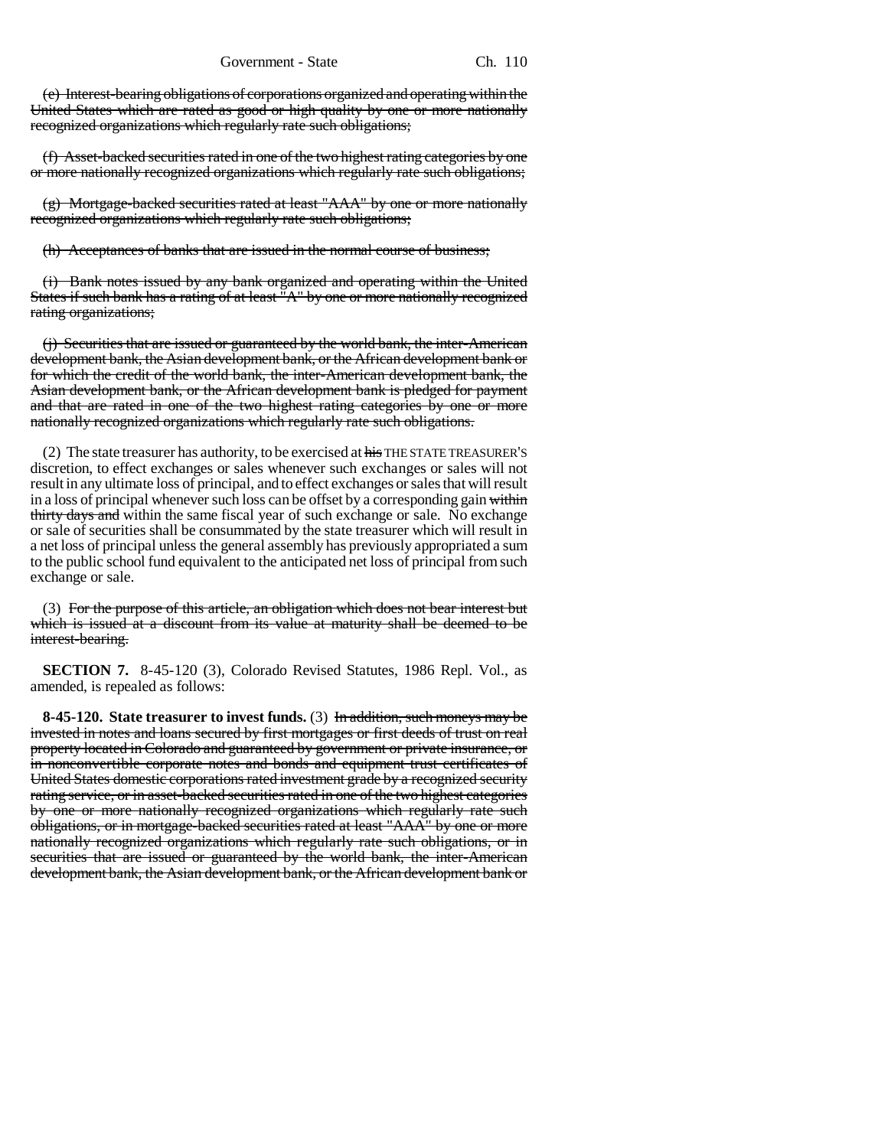(e) Interest-bearing obligations of corporations organized and operating within the United States which are rated as good or high quality by one or more nationally recognized organizations which regularly rate such obligations;

(f) Asset-backed securities rated in one of the two highest rating categories by one or more nationally recognized organizations which regularly rate such obligations;

(g) Mortgage-backed securities rated at least "AAA" by one or more nationally recognized organizations which regularly rate such obligations;

(h) Acceptances of banks that are issued in the normal course of business;

(i) Bank notes issued by any bank organized and operating within the United States if such bank has a rating of at least "A" by one or more nationally recognized rating organizations;

(j) Securities that are issued or guaranteed by the world bank, the inter-American development bank, the Asian development bank, or the African development bank or for which the credit of the world bank, the inter-American development bank, the Asian development bank, or the African development bank is pledged for payment and that are rated in one of the two highest rating categories by one or more nationally recognized organizations which regularly rate such obligations.

(2) The state treasurer has authority, to be exercised at his THE STATE TREASURER'S discretion, to effect exchanges or sales whenever such exchanges or sales will not result in any ultimate loss of principal, and to effect exchanges or sales that will result in a loss of principal whenever such loss can be offset by a corresponding gain within thirty days and within the same fiscal year of such exchange or sale. No exchange or sale of securities shall be consummated by the state treasurer which will result in a net loss of principal unless the general assembly has previously appropriated a sum to the public school fund equivalent to the anticipated net loss of principal from such exchange or sale.

(3) For the purpose of this article, an obligation which does not bear interest but which is issued at a discount from its value at maturity shall be deemed to be interest-bearing.

**SECTION 7.** 8-45-120 (3), Colorado Revised Statutes, 1986 Repl. Vol., as amended, is repealed as follows:

**8-45-120. State treasurer to invest funds.** (3) In addition, such moneys may be invested in notes and loans secured by first mortgages or first deeds of trust on real property located in Colorado and guaranteed by government or private insurance, or in nonconvertible corporate notes and bonds and equipment trust certificates of United States domestic corporations rated investment grade by a recognized security rating service, or in asset-backed securities rated in one of the two highest categories by one or more nationally recognized organizations which regularly rate such obligations, or in mortgage-backed securities rated at least "AAA" by one or more nationally recognized organizations which regularly rate such obligations, or in securities that are issued or guaranteed by the world bank, the inter-American development bank, the Asian development bank, or the African development bank or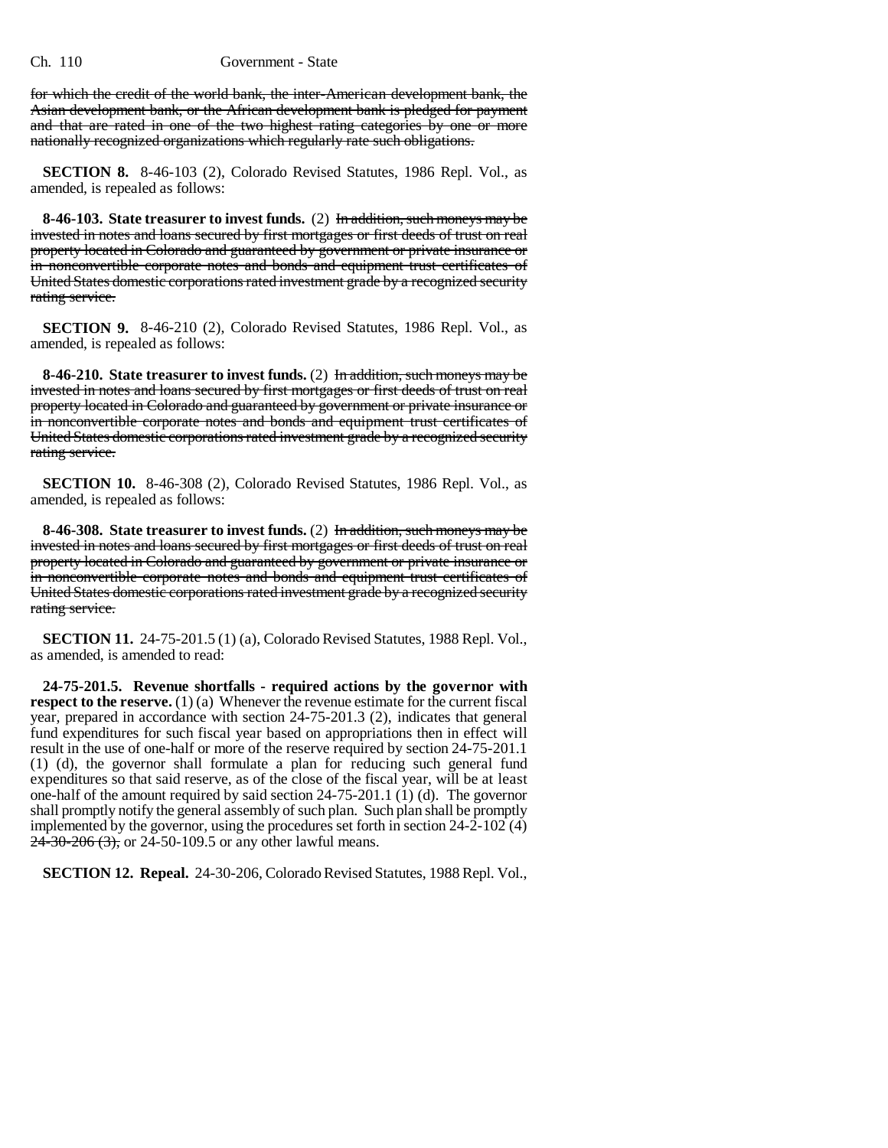for which the credit of the world bank, the inter-American development bank, the Asian development bank, or the African development bank is pledged for payment and that are rated in one of the two highest rating categories by one or more nationally recognized organizations which regularly rate such obligations.

**SECTION 8.** 8-46-103 (2), Colorado Revised Statutes, 1986 Repl. Vol., as amended, is repealed as follows:

**8-46-103. State treasurer to invest funds.** (2) In addition, such moneys may be invested in notes and loans secured by first mortgages or first deeds of trust on real property located in Colorado and guaranteed by government or private insurance or in nonconvertible corporate notes and bonds and equipment trust certificates of United States domestic corporations rated investment grade by a recognized security rating service.

**SECTION 9.** 8-46-210 (2), Colorado Revised Statutes, 1986 Repl. Vol., as amended, is repealed as follows:

**8-46-210. State treasurer to invest funds.** (2) In addition, such moneys may be invested in notes and loans secured by first mortgages or first deeds of trust on real property located in Colorado and guaranteed by government or private insurance or in nonconvertible corporate notes and bonds and equipment trust certificates of United States domestic corporations rated investment grade by a recognized security rating service.

**SECTION 10.** 8-46-308 (2), Colorado Revised Statutes, 1986 Repl. Vol., as amended, is repealed as follows:

**8-46-308. State treasurer to invest funds.** (2) In addition, such moneys may be invested in notes and loans secured by first mortgages or first deeds of trust on real property located in Colorado and guaranteed by government or private insurance or in nonconvertible corporate notes and bonds and equipment trust certificates of United States domestic corporations rated investment grade by a recognized security rating service.

**SECTION 11.** 24-75-201.5 (1) (a), Colorado Revised Statutes, 1988 Repl. Vol., as amended, is amended to read:

**24-75-201.5. Revenue shortfalls - required actions by the governor with respect to the reserve.** (1) (a) Whenever the revenue estimate for the current fiscal year, prepared in accordance with section 24-75-201.3 (2), indicates that general fund expenditures for such fiscal year based on appropriations then in effect will result in the use of one-half or more of the reserve required by section 24-75-201.1 (1) (d), the governor shall formulate a plan for reducing such general fund expenditures so that said reserve, as of the close of the fiscal year, will be at least one-half of the amount required by said section 24-75-201.1 (1) (d). The governor shall promptly notify the general assembly of such plan. Such plan shall be promptly implemented by the governor, using the procedures set forth in section 24-2-102 (4)  $24-30-206(3)$ , or 24-50-109.5 or any other lawful means.

**SECTION 12. Repeal.** 24-30-206, Colorado Revised Statutes, 1988 Repl. Vol.,